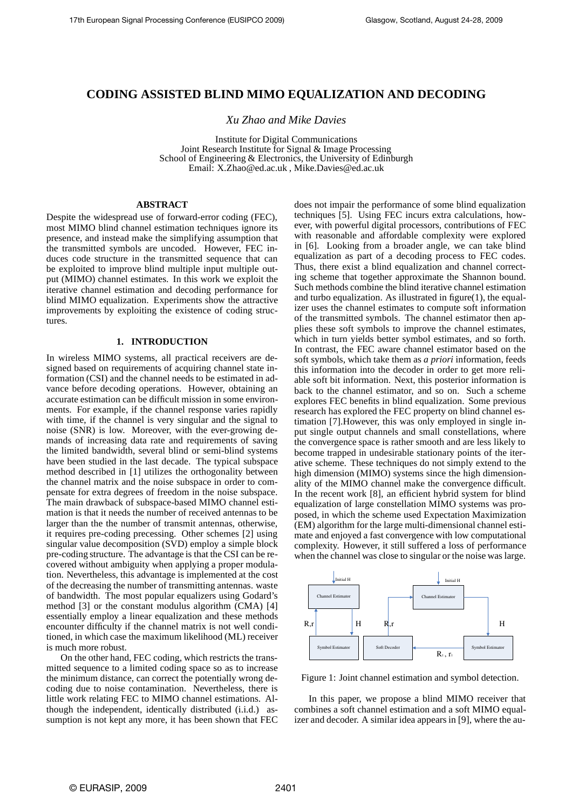# **CODING ASSISTED BLIND MIMO EQUALIZATION AND DECODING**

*Xu Zhao and Mike Davies*

Institute for Digital Communications Joint Research Institute for Signal & Image Processing School of Engineering & Electronics, the University of Edinburgh Email: X.Zhao@ed.ac.uk , Mike.Davies@ed.ac.uk

## **ABSTRACT**

Despite the widespread use of forward-error coding (FEC), most MIMO blind channel estimation techniques ignore its presence, and instead make the simplifying assumption that the transmitted symbols are uncoded. However, FEC induces code structure in the transmitted sequence that can be exploited to improve blind multiple input multiple output (MIMO) channel estimates. In this work we exploit the iterative channel estimation and decoding performance for blind MIMO equalization. Experiments show the attractive improvements by exploiting the existence of coding structures.

### **1. INTRODUCTION**

In wireless MIMO systems, all practical receivers are designed based on requirements of acquiring channel state information (CSI) and the channel needs to be estimated in advance before decoding operations. However, obtaining an accurate estimation can be difficult mission in some environments. For example, if the channel response varies rapidly with time, if the channel is very singular and the signal to noise (SNR) is low. Moreover, with the ever-growing demands of increasing data rate and requirements of saving the limited bandwidth, several blind or semi-blind systems have been studied in the last decade. The typical subspace method described in [1] utilizes the orthogonality between the channel matrix and the noise subspace in order to compensate for extra degrees of freedom in the noise subspace. The main drawback of subspace-based MIMO channel estimation is that it needs the number of received antennas to be larger than the the number of transmit antennas, otherwise, it requires pre-coding precessing. Other schemes [2] using singular value decomposition (SVD) employ a simple block pre-coding structure. The advantage is that the CSI can be recovered without ambiguity when applying a proper modulation. Nevertheless, this advantage is implemented at the cost of the decreasing the number of transmitting antennas. waste of bandwidth. The most popular equalizers using Godard's method [3] or the constant modulus algorithm (CMA) [4] essentially employ a linear equalization and these methods encounter difficulty if the channel matrix is not well conditioned, in which case the maximum likelihood (ML) receiver is much more robust.

On the other hand, FEC coding, which restricts the transmitted sequence to a limited coding space so as to increase the minimum distance, can correct the potentially wrong decoding due to noise contamination. Nevertheless, there is little work relating FEC to MIMO channel estimations. Although the independent, identically distributed (i.i.d.) assumption is not kept any more, it has been shown that FEC does not impair the performance of some blind equalization techniques [5]. Using FEC incurs extra calculations, however, with powerful digital processors, contributions of FEC with reasonable and affordable complexity were explored in [6]. Looking from a broader angle, we can take blind equalization as part of a decoding process to FEC codes. Thus, there exist a blind equalization and channel correcting scheme that together approximate the Shannon bound. Such methods combine the blind iterative channel estimation and turbo equalization. As illustrated in figure(1), the equalizer uses the channel estimates to compute soft information of the transmitted symbols. The channel estimator then applies these soft symbols to improve the channel estimates, which in turn yields better symbol estimates, and so forth. In contrast, the FEC aware channel estimator based on the soft symbols, which take them as *a priori* information, feeds this information into the decoder in order to get more reliable soft bit information. Next, this posterior information is back to the channel estimator, and so on. Such a scheme explores FEC benefits in blind equalization. Some previous research has explored the FEC property on blind channel estimation [7].However, this was only employed in single input single output channels and small constellations, where the convergence space is rather smooth and are less likely to become trapped in undesirable stationary points of the iterative scheme. These techniques do not simply extend to the high dimension (MIMO) systems since the high dimensionality of the MIMO channel make the convergence difficult. In the recent work [8], an efficient hybrid system for blind equalization of large constellation MIMO systems was proposed, in which the scheme used Expectation Maximization (EM) algorithm for the large multi-dimensional channel estimate and enjoyed a fast convergence with low computational complexity. However, it still suffered a loss of performance when the channel was close to singular or the noise was large.



Figure 1: Joint channel estimation and symbol detection.

In this paper, we propose a blind MIMO receiver that combines a soft channel estimation and a soft MIMO equalizer and decoder. A similar idea appears in [9], where the au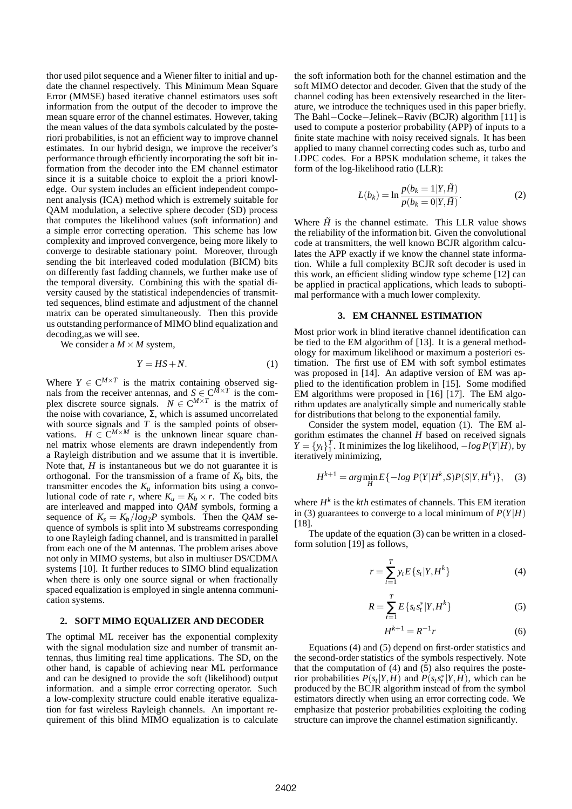thor used pilot sequence and a Wiener filter to initial and update the channel respectively. This Minimum Mean Square Error (MMSE) based iterative channel estimators uses soft information from the output of the decoder to improve the mean square error of the channel estimates. However, taking the mean values of the data symbols calculated by the posteriori probabilities, is not an efficient way to improve channel estimates. In our hybrid design, we improve the receiver's performance through efficiently incorporating the soft bit information from the decoder into the EM channel estimator since it is a suitable choice to exploit the a priori knowledge. Our system includes an efficient independent component analysis (ICA) method which is extremely suitable for QAM modulation, a selective sphere decoder (SD) process that computes the likelihood values (soft information) and a simple error correcting operation. This scheme has low complexity and improved convergence, being more likely to converge to desirable stationary point. Moreover, through sending the bit interleaved coded modulation (BICM) bits on differently fast fadding channels, we further make use of the temporal diversity. Combining this with the spatial diversity caused by the statistical independencies of transmitted sequences, blind estimate and adjustment of the channel matrix can be operated simultaneously. Then this provide us outstanding performance of MIMO blind equalization and decoding,as we will see.

We consider a  $M \times M$  system,

$$
Y = HS + N.\tag{1}
$$

Where  $Y \in \mathbb{C}^{M \times T}$  is the matrix containing observed signals from the receiver antennas, and  $S \in \mathbb{C}^{M \times T}$  is the complex discrete source signals.  $N \in \mathbb{C}^{M \times T}$  is the matrix of the noise with covariance, Σ, which is assumed uncorrelated with source signals and  $T$  is the sampled points of observations.  $H \in \mathbb{C}^{M \times M}$  is the unknown linear square channel matrix whose elements are drawn independently from a Rayleigh distribution and we assume that it is invertible. Note that, *H* is instantaneous but we do not guarantee it is orthogonal. For the transmission of a frame of  $K_b$  bits, the transmitter encodes the  $K_u$  information bits using a convolutional code of rate *r*, where  $K_u = K_b \times r$ . The coded bits are interleaved and mapped into *QAM* symbols, forming a sequence of  $K_s = K_b / log_2 P$  symbols. Then the *QAM* sequence of symbols is split into M substreams corresponding to one Rayleigh fading channel, and is transmitted in parallel from each one of the M antennas. The problem arises above not only in MIMO systems, but also in multiuser DS/CDMA systems [10]. It further reduces to SIMO blind equalization when there is only one source signal or when fractionally spaced equalization is employed in single antenna communication systems.

### **2. SOFT MIMO EQUALIZER AND DECODER**

The optimal ML receiver has the exponential complexity with the signal modulation size and number of transmit antennas, thus limiting real time applications. The SD, on the other hand, is capable of achieving near ML performance and can be designed to provide the soft (likelihood) output information. and a simple error correcting operator. Such a low-complexity structure could enable iterative equalization for fast wireless Rayleigh channels. An important requirement of this blind MIMO equalization is to calculate the soft information both for the channel estimation and the soft MIMO detector and decoder. Given that the study of the channel coding has been extensively researched in the literature, we introduce the techniques used in this paper briefly. The Bahl−Cocke−Jelinek−Raviv (BCJR) algorithm [11] is used to compute a posterior probability (APP) of inputs to a finite state machine with noisy received signals. It has been applied to many channel correcting codes such as, turbo and LDPC codes. For a BPSK modulation scheme, it takes the form of the log-likelihood ratio (LLR):

$$
L(b_k) = \ln \frac{p(b_k = 1|Y, \tilde{H})}{p(b_k = 0|Y, \tilde{H})}.
$$
\n(2)

Where  $\tilde{H}$  is the channel estimate. This LLR value shows the reliability of the information bit. Given the convolutional code at transmitters, the well known BCJR algorithm calculates the APP exactly if we know the channel state information. While a full complexity BCJR soft decoder is used in this work, an efficient sliding window type scheme [12] can be applied in practical applications, which leads to suboptimal performance with a much lower complexity.

#### **3. EM CHANNEL ESTIMATION**

Most prior work in blind iterative channel identification can be tied to the EM algorithm of [13]. It is a general methodology for maximum likelihood or maximum a posteriori estimation. The first use of EM with soft symbol estimates was proposed in [14]. An adaptive version of EM was applied to the identification problem in [15]. Some modified EM algorithms were proposed in [16] [17]. The EM algorithm updates are analytically simple and numerically stable for distributions that belong to the exponential family.

Consider the system model, equation (1). The EM algorithm estimates the channel *H* based on received signals  $\overline{Y} = \{y_t\}^T_1$ . It minimizes the log likelihood,  $-\log P(Y|H)$ , by iteratively minimizing,

$$
H^{k+1} = \arg\min_{H} E\{-\log P(Y|H^k, S)P(S|Y, H^k)\}, \quad (3)
$$

where  $H^k$  is the  $kth$  estimates of channels. This EM iteration in (3) guarantees to converge to a local minimum of  $P(Y|H)$ [18].

The update of the equation (3) can be written in a closedform solution [19] as follows,

$$
r = \sum_{t=1}^{T} y_t E\{s_t | Y, H^k\}
$$
 (4)

$$
R = \sum_{t=1}^{T} E\{s_t s_t^* | Y, H^k\}
$$
 (5)

$$
H^{k+1} = R^{-1}r \tag{6}
$$

Equations (4) and (5) depend on first-order statistics and the second-order statistics of the symbols respectively. Note that the computation of (4) and (5) also requires the posterior probabilities  $P(s_t|Y, H)$  and  $P(s_t s_t^* | Y, H)$ , which can be produced by the BCJR algorithm instead of from the symbol estimators directly when using an error correcting code. We emphasize that posterior probabilities exploiting the coding structure can improve the channel estimation significantly.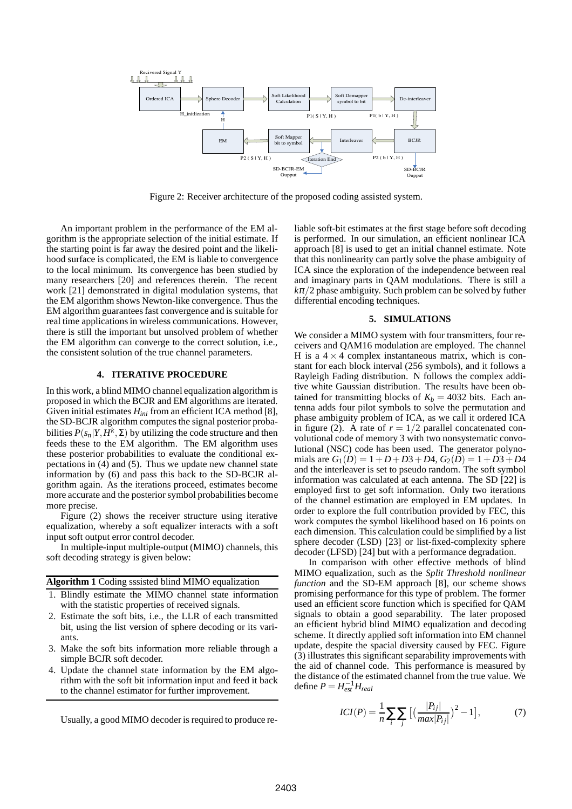

Figure 2: Receiver architecture of the proposed coding assisted system.

An important problem in the performance of the EM algorithm is the appropriate selection of the initial estimate. If the starting point is far away the desired point and the likelihood surface is complicated, the EM is liable to convergence to the local minimum. Its convergence has been studied by many researchers [20] and references therein. The recent work [21] demonstrated in digital modulation systems, that the EM algorithm shows Newton-like convergence. Thus the EM algorithm guarantees fast convergence and is suitable for real time applications in wireless communications. However, there is still the important but unsolved problem of whether the EM algorithm can converge to the correct solution, i.e., the consistent solution of the true channel parameters.

### **4. ITERATIVE PROCEDURE**

In this work, a blind MIMO channel equalization algorithm is proposed in which the BCJR and EM algorithms are iterated. Given initial estimates *Hini* from an efficient ICA method [8], the SD-BCJR algorithm computes the signal posterior probabilities  $P(s_n|Y, H^k, \Sigma)$  by utilizing the code structure and then feeds these to the EM algorithm. The EM algorithm uses these posterior probabilities to evaluate the conditional expectations in (4) and (5). Thus we update new channel state information by (6) and pass this back to the SD-BCJR algorithm again. As the iterations proceed, estimates become more accurate and the posterior symbol probabilities become more precise.

Figure (2) shows the receiver structure using iterative equalization, whereby a soft equalizer interacts with a soft input soft output error control decoder.

In multiple-input multiple-output (MIMO) channels, this soft decoding strategy is given below:

**Algorithm 1** Coding sssisted blind MIMO equalization

- 1. Blindly estimate the MIMO channel state information with the statistic properties of received signals.
- 2. Estimate the soft bits, i.e., the LLR of each transmitted bit, using the list version of sphere decoding or its variants.
- 3. Make the soft bits information more reliable through a simple BCJR soft decoder.
- 4. Update the channel state information by the EM algorithm with the soft bit information input and feed it back to the channel estimator for further improvement.

Usually, a good MIMO decoder is required to produce re-

liable soft-bit estimates at the first stage before soft decoding is performed. In our simulation, an efficient nonlinear ICA approach [8] is used to get an initial channel estimate. Note that this nonlinearity can partly solve the phase ambiguity of ICA since the exploration of the independence between real and imaginary parts in QAM modulations. There is still a  $k\pi/2$  phase ambiguity. Such problem can be solved by futher differential encoding techniques.

### **5. SIMULATIONS**

We consider a MIMO system with four transmitters, four receivers and QAM16 modulation are employed. The channel H is a  $4 \times 4$  complex instantaneous matrix, which is constant for each block interval (256 symbols), and it follows a Rayleigh Fading distribution. N follows the complex additive white Gaussian distribution. The results have been obtained for transmitting blocks of  $K_b = 4032$  bits. Each antenna adds four pilot symbols to solve the permutation and phase ambiguity problem of ICA, as we call it ordered ICA in figure (2). A rate of  $r = 1/2$  parallel concatenated convolutional code of memory 3 with two nonsystematic convolutional (NSC) code has been used. The generator polynomials are  $G_1(D) = 1 + D + D3 + D4$ ,  $G_2(D) = 1 + D3 + D4$ and the interleaver is set to pseudo random. The soft symbol information was calculated at each antenna. The SD [22] is employed first to get soft information. Only two iterations of the channel estimation are employed in EM updates. In order to explore the full contribution provided by FEC, this work computes the symbol likelihood based on 16 points on each dimension. This calculation could be simplified by a list sphere decoder (LSD) [23] or list-fixed-complexity sphere decoder (LFSD) [24] but with a performance degradation.

In comparison with other effective methods of blind MIMO equalization, such as the *Split Threshold nonlinear function* and the SD-EM approach [8], our scheme shows promising performance for this type of problem. The former used an efficient score function which is specified for QAM signals to obtain a good separability. The later proposed an efficient hybrid blind MIMO equalization and decoding scheme. It directly applied soft information into EM channel update, despite the spacial diversity caused by FEC. Figure (3) illustrates this significant separability improvements with the aid of channel code. This performance is measured by the distance of the estimated channel from the true value. We  $\det P = H_{est}^{-1} H_{real}$ 

$$
ICI(P) = \frac{1}{n} \sum_{i} \sum_{j} \left[ \left( \frac{|P_{ij}|}{max |P_{ij}|} \right)^2 - 1 \right],
$$
 (7)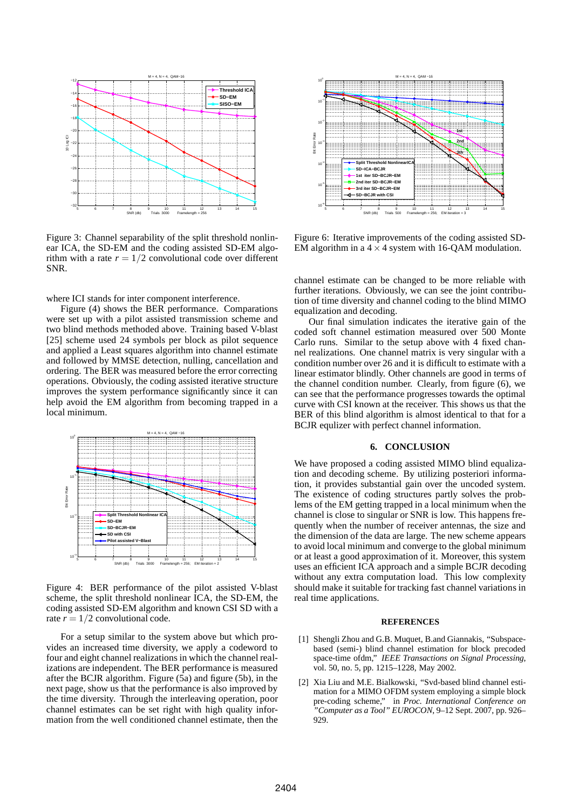

Figure 3: Channel separability of the split threshold nonlinear ICA, the SD-EM and the coding assisted SD-EM algorithm with a rate  $r = 1/2$  convolutional code over different SNR.

where ICI stands for inter component interference.

Figure (4) shows the BER performance. Comparations were set up with a pilot assisted transmission scheme and two blind methods methoded above. Training based V-blast [25] scheme used 24 symbols per block as pilot sequence and applied a Least squares algorithm into channel estimate and followed by MMSE detection, nulling, cancellation and ordering. The BER was measured before the error correcting operations. Obviously, the coding assisted iterative structure improves the system performance significantly since it can help avoid the EM algorithm from becoming trapped in a local minimum.



Figure 4: BER performance of the pilot assisted V-blast scheme, the split threshold nonlinear ICA, the SD-EM, the coding assisted SD-EM algorithm and known CSI SD with a rate  $r = 1/2$  convolutional code.

For a setup similar to the system above but which provides an increased time diversity, we apply a codeword to four and eight channel realizations in which the channel realizations are independent. The BER performance is measured after the BCJR algorithm. Figure (5a) and figure (5b), in the next page, show us that the performance is also improved by the time diversity. Through the interleaving operation, poor channel estimates can be set right with high quality information from the well conditioned channel estimate, then the



Figure 6: Iterative improvements of the coding assisted SD-EM algorithm in a  $4 \times 4$  system with 16-QAM modulation.

channel estimate can be changed to be more reliable with further iterations. Obviously, we can see the joint contribution of time diversity and channel coding to the blind MIMO equalization and decoding.

Our final simulation indicates the iterative gain of the coded soft channel estimation measured over 500 Monte Carlo runs. Similar to the setup above with 4 fixed channel realizations. One channel matrix is very singular with a condition number over 26 and it is difficult to estimate with a linear estimator blindly. Other channels are good in terms of the channel condition number. Clearly, from figure (6), we can see that the performance progresses towards the optimal curve with CSI known at the receiver. This shows us that the BER of this blind algorithm is almost identical to that for a BCJR equlizer with perfect channel information.

#### **6. CONCLUSION**

We have proposed a coding assisted MIMO blind equalization and decoding scheme. By utilizing posteriori information, it provides substantial gain over the uncoded system. The existence of coding structures partly solves the problems of the EM getting trapped in a local minimum when the channel is close to singular or SNR is low. This happens frequently when the number of receiver antennas, the size and the dimension of the data are large. The new scheme appears to avoid local minimum and converge to the global minimum or at least a good approximation of it. Moreover, this system uses an efficient ICA approach and a simple BCJR decoding without any extra computation load. This low complexity should make it suitable for tracking fast channel variations in real time applications.

#### **REFERENCES**

- [1] Shengli Zhou and G.B. Muquet, B.and Giannakis, "Subspacebased (semi-) blind channel estimation for block precoded space-time ofdm," *IEEE Transactions on Signal Processing*, vol. 50, no. 5, pp. 1215–1228, May 2002.
- [2] Xia Liu and M.E. Bialkowski, "Svd-based blind channel estimation for a MIMO OFDM system employing a simple block pre-coding scheme," in *Proc. International Conference on "Computer as a Tool" EUROCON*, 9–12 Sept. 2007, pp. 926– 929.